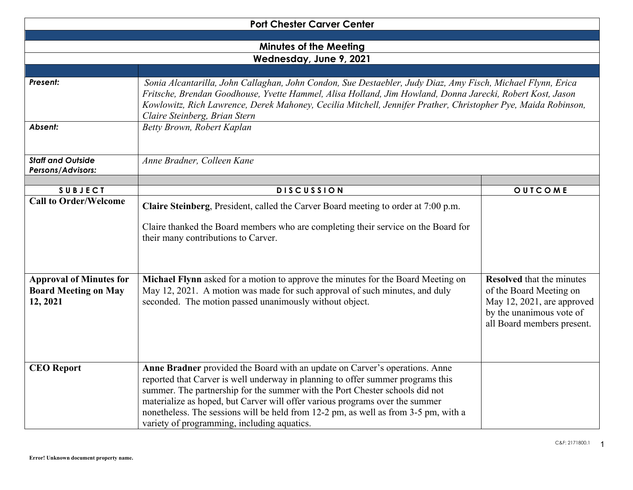| <b>Port Chester Carver Center</b>                                         |                                                                                                                                                                                                                                                                                                                                                                                                                                                                      |                                                                                                                                                     |  |  |  |
|---------------------------------------------------------------------------|----------------------------------------------------------------------------------------------------------------------------------------------------------------------------------------------------------------------------------------------------------------------------------------------------------------------------------------------------------------------------------------------------------------------------------------------------------------------|-----------------------------------------------------------------------------------------------------------------------------------------------------|--|--|--|
|                                                                           |                                                                                                                                                                                                                                                                                                                                                                                                                                                                      |                                                                                                                                                     |  |  |  |
| <b>Minutes of the Meeting</b>                                             |                                                                                                                                                                                                                                                                                                                                                                                                                                                                      |                                                                                                                                                     |  |  |  |
| Wednesday, June 9, 2021                                                   |                                                                                                                                                                                                                                                                                                                                                                                                                                                                      |                                                                                                                                                     |  |  |  |
|                                                                           |                                                                                                                                                                                                                                                                                                                                                                                                                                                                      |                                                                                                                                                     |  |  |  |
| Present:                                                                  | Sonia Alcantarilla, John Callaghan, John Condon, Sue Destaebler, Judy Diaz, Amy Fisch, Michael Flynn, Erica<br>Fritsche, Brendan Goodhouse, Yvette Hammel, Alisa Holland, Jim Howland, Donna Jarecki, Robert Kost, Jason<br>Kowlowitz, Rich Lawrence, Derek Mahoney, Cecilia Mitchell, Jennifer Prather, Christopher Pye, Maida Robinson,<br>Claire Steinberg, Brian Stern                                                                                           |                                                                                                                                                     |  |  |  |
| Absent:                                                                   | Betty Brown, Robert Kaplan                                                                                                                                                                                                                                                                                                                                                                                                                                           |                                                                                                                                                     |  |  |  |
| <b>Staff and Outside</b><br>Persons/Advisors:                             | Anne Bradner, Colleen Kane                                                                                                                                                                                                                                                                                                                                                                                                                                           |                                                                                                                                                     |  |  |  |
|                                                                           |                                                                                                                                                                                                                                                                                                                                                                                                                                                                      |                                                                                                                                                     |  |  |  |
| <b>SUBJECT</b><br><b>Call to Order/Welcome</b>                            | <b>DISCUSSION</b>                                                                                                                                                                                                                                                                                                                                                                                                                                                    | OUTCOME                                                                                                                                             |  |  |  |
|                                                                           | Claire Steinberg, President, called the Carver Board meeting to order at 7:00 p.m.<br>Claire thanked the Board members who are completing their service on the Board for<br>their many contributions to Carver.                                                                                                                                                                                                                                                      |                                                                                                                                                     |  |  |  |
| <b>Approval of Minutes for</b><br><b>Board Meeting on May</b><br>12, 2021 | Michael Flynn asked for a motion to approve the minutes for the Board Meeting on<br>May 12, 2021. A motion was made for such approval of such minutes, and duly<br>seconded. The motion passed unanimously without object.                                                                                                                                                                                                                                           | <b>Resolved</b> that the minutes<br>of the Board Meeting on<br>May 12, 2021, are approved<br>by the unanimous vote of<br>all Board members present. |  |  |  |
| <b>CEO</b> Report                                                         | Anne Bradner provided the Board with an update on Carver's operations. Anne<br>reported that Carver is well underway in planning to offer summer programs this<br>summer. The partnership for the summer with the Port Chester schools did not<br>materialize as hoped, but Carver will offer various programs over the summer<br>nonetheless. The sessions will be held from 12-2 pm, as well as from 3-5 pm, with a<br>variety of programming, including aquatics. |                                                                                                                                                     |  |  |  |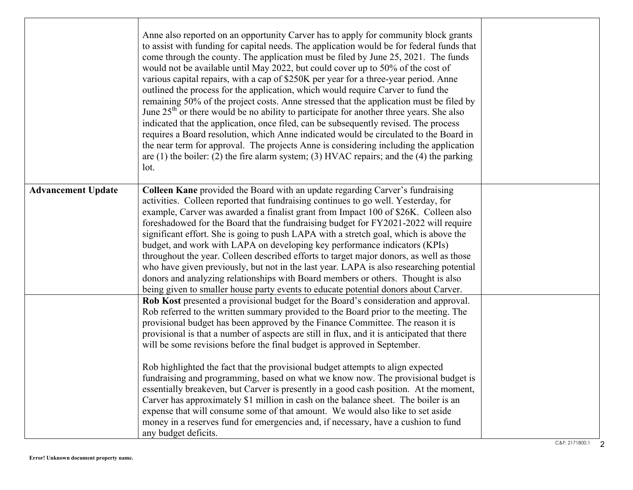|                           | Anne also reported on an opportunity Carver has to apply for community block grants<br>to assist with funding for capital needs. The application would be for federal funds that<br>come through the county. The application must be filed by June 25, 2021. The funds<br>would not be available until May 2022, but could cover up to 50% of the cost of<br>various capital repairs, with a cap of \$250K per year for a three-year period. Anne<br>outlined the process for the application, which would require Carver to fund the<br>remaining 50% of the project costs. Anne stressed that the application must be filed by<br>June $25th$ or there would be no ability to participate for another three years. She also<br>indicated that the application, once filed, can be subsequently revised. The process<br>requires a Board resolution, which Anne indicated would be circulated to the Board in<br>the near term for approval. The projects Anne is considering including the application<br>are $(1)$ the boiler: $(2)$ the fire alarm system; $(3)$ HVAC repairs; and the $(4)$ the parking<br>lot. |  |
|---------------------------|----------------------------------------------------------------------------------------------------------------------------------------------------------------------------------------------------------------------------------------------------------------------------------------------------------------------------------------------------------------------------------------------------------------------------------------------------------------------------------------------------------------------------------------------------------------------------------------------------------------------------------------------------------------------------------------------------------------------------------------------------------------------------------------------------------------------------------------------------------------------------------------------------------------------------------------------------------------------------------------------------------------------------------------------------------------------------------------------------------------------|--|
| <b>Advancement Update</b> | Colleen Kane provided the Board with an update regarding Carver's fundraising<br>activities. Colleen reported that fundraising continues to go well. Yesterday, for<br>example, Carver was awarded a finalist grant from Impact 100 of \$26K. Colleen also<br>foreshadowed for the Board that the fundraising budget for FY2021-2022 will require<br>significant effort. She is going to push LAPA with a stretch goal, which is above the<br>budget, and work with LAPA on developing key performance indicators (KPIs)<br>throughout the year. Colleen described efforts to target major donors, as well as those<br>who have given previously, but not in the last year. LAPA is also researching potential<br>donors and analyzing relationships with Board members or others. Thought is also<br>being given to smaller house party events to educate potential donors about Carver.                                                                                                                                                                                                                            |  |
|                           | Rob Kost presented a provisional budget for the Board's consideration and approval.<br>Rob referred to the written summary provided to the Board prior to the meeting. The<br>provisional budget has been approved by the Finance Committee. The reason it is<br>provisional is that a number of aspects are still in flux, and it is anticipated that there<br>will be some revisions before the final budget is approved in September.<br>Rob highlighted the fact that the provisional budget attempts to align expected<br>fundraising and programming, based on what we know now. The provisional budget is<br>essentially breakeven, but Carver is presently in a good cash position. At the moment,<br>Carver has approximately \$1 million in cash on the balance sheet. The boiler is an<br>expense that will consume some of that amount. We would also like to set aside<br>money in a reserves fund for emergencies and, if necessary, have a cushion to fund<br>any budget deficits.                                                                                                                    |  |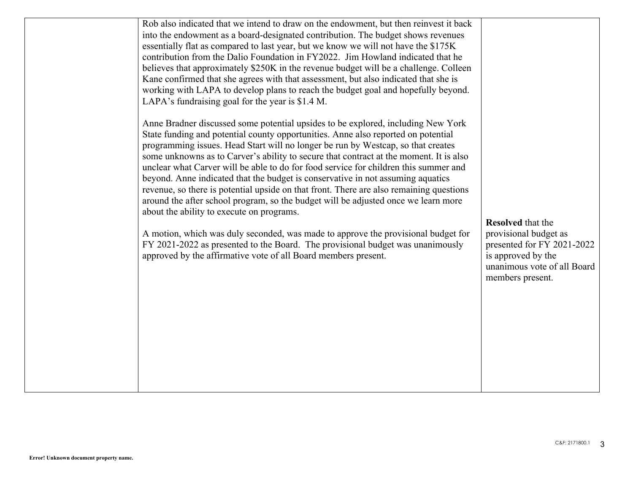|--|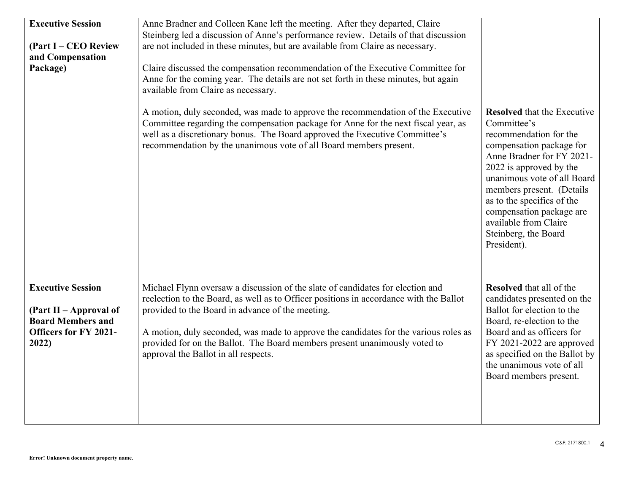| <b>Executive Session</b><br>(Part I – CEO Review<br>and Compensation<br>Package)                                        | Anne Bradner and Colleen Kane left the meeting. After they departed, Claire<br>Steinberg led a discussion of Anne's performance review. Details of that discussion<br>are not included in these minutes, but are available from Claire as necessary.<br>Claire discussed the compensation recommendation of the Executive Committee for<br>Anne for the coming year. The details are not set forth in these minutes, but again<br>available from Claire as necessary.<br>A motion, duly seconded, was made to approve the recommendation of the Executive<br>Committee regarding the compensation package for Anne for the next fiscal year, as<br>well as a discretionary bonus. The Board approved the Executive Committee's<br>recommendation by the unanimous vote of all Board members present. | <b>Resolved</b> that the Executive<br>Committee's<br>recommendation for the<br>compensation package for<br>Anne Bradner for FY 2021-<br>2022 is approved by the<br>unanimous vote of all Board<br>members present. (Details<br>as to the specifics of the<br>compensation package are<br>available from Claire<br>Steinberg, the Board<br>President). |
|-------------------------------------------------------------------------------------------------------------------------|------------------------------------------------------------------------------------------------------------------------------------------------------------------------------------------------------------------------------------------------------------------------------------------------------------------------------------------------------------------------------------------------------------------------------------------------------------------------------------------------------------------------------------------------------------------------------------------------------------------------------------------------------------------------------------------------------------------------------------------------------------------------------------------------------|-------------------------------------------------------------------------------------------------------------------------------------------------------------------------------------------------------------------------------------------------------------------------------------------------------------------------------------------------------|
| <b>Executive Session</b><br>(Part II – Approval of<br><b>Board Members and</b><br><b>Officers for FY 2021-</b><br>2022) | Michael Flynn oversaw a discussion of the slate of candidates for election and<br>reelection to the Board, as well as to Officer positions in accordance with the Ballot<br>provided to the Board in advance of the meeting.<br>A motion, duly seconded, was made to approve the candidates for the various roles as<br>provided for on the Ballot. The Board members present unanimously voted to<br>approval the Ballot in all respects.                                                                                                                                                                                                                                                                                                                                                           | <b>Resolved</b> that all of the<br>candidates presented on the<br>Ballot for election to the<br>Board, re-election to the<br>Board and as officers for<br>FY 2021-2022 are approved<br>as specified on the Ballot by<br>the unanimous vote of all<br>Board members present.                                                                           |